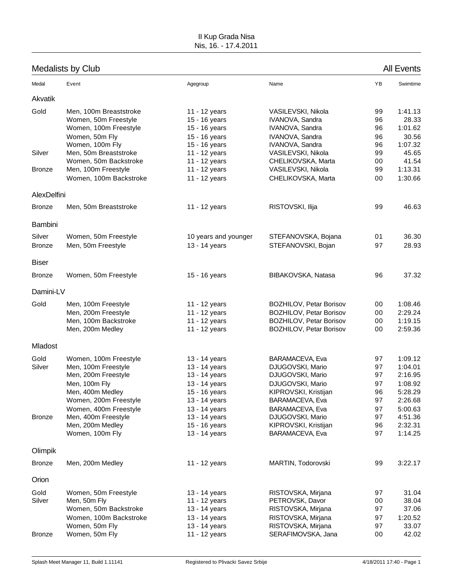### II Kup Grada Nisa Nis, 16. - 17.4.2011

# Medalists by Club All Events

| Medal                           | Event                                                                                                                                                      | Agegroup                                                                                                            | Name                                                                                                                                      | YB                                     | Swimtime                                                                  |
|---------------------------------|------------------------------------------------------------------------------------------------------------------------------------------------------------|---------------------------------------------------------------------------------------------------------------------|-------------------------------------------------------------------------------------------------------------------------------------------|----------------------------------------|---------------------------------------------------------------------------|
| Akvatik                         |                                                                                                                                                            |                                                                                                                     |                                                                                                                                           |                                        |                                                                           |
| Gold                            | Men, 100m Breaststroke<br>Women, 50m Freestyle<br>Women, 100m Freestyle<br>Women, 50m Fly                                                                  | 11 - 12 years<br>15 - 16 years<br>15 - 16 years<br>15 - 16 years                                                    | VASILEVSKI, Nikola<br>IVANOVA, Sandra<br>IVANOVA, Sandra<br>IVANOVA, Sandra                                                               | 99<br>96<br>96<br>96                   | 1:41.13<br>28.33<br>1:01.62<br>30.56                                      |
| Silver                          | Women, 100m Fly<br>Men, 50m Breaststroke<br>Women, 50m Backstroke                                                                                          | 15 - 16 years<br>11 - 12 years<br>11 - 12 years                                                                     | IVANOVA, Sandra<br>VASILEVSKI, Nikola<br>CHELIKOVSKA, Marta                                                                               | 96<br>99<br>00                         | 1:07.32<br>45.65<br>41.54                                                 |
| <b>Bronze</b>                   | Men, 100m Freestyle<br>Women, 100m Backstroke                                                                                                              | 11 - 12 years<br>11 - 12 years                                                                                      | VASILEVSKI, Nikola<br>CHELIKOVSKA, Marta                                                                                                  | 99<br>00                               | 1:13.31<br>1:30.66                                                        |
| AlexDelfini                     |                                                                                                                                                            |                                                                                                                     |                                                                                                                                           |                                        |                                                                           |
| <b>Bronze</b>                   | Men, 50m Breaststroke                                                                                                                                      | 11 - 12 years                                                                                                       | RISTOVSKI, Ilija                                                                                                                          | 99                                     | 46.63                                                                     |
| Bambini                         |                                                                                                                                                            |                                                                                                                     |                                                                                                                                           |                                        |                                                                           |
| Silver<br><b>Bronze</b>         | Women, 50m Freestyle<br>Men, 50m Freestyle                                                                                                                 | 10 years and younger<br>13 - 14 years                                                                               | STEFANOVSKA, Bojana<br>STEFANOVSKI, Bojan                                                                                                 | 01<br>97                               | 36.30<br>28.93                                                            |
| <b>Biser</b>                    |                                                                                                                                                            |                                                                                                                     |                                                                                                                                           |                                        |                                                                           |
| <b>Bronze</b>                   | Women, 50m Freestyle                                                                                                                                       | 15 - 16 years                                                                                                       | BIBAKOVSKA, Natasa                                                                                                                        | 96                                     | 37.32                                                                     |
| Damini-LV                       |                                                                                                                                                            |                                                                                                                     |                                                                                                                                           |                                        |                                                                           |
| Gold                            | Men, 100m Freestyle<br>Men, 200m Freestyle<br>Men, 100m Backstroke<br>Men, 200m Medley                                                                     | 11 - 12 years<br>11 - 12 years<br>11 - 12 years<br>11 - 12 years                                                    | <b>BOZHILOV, Petar Borisov</b><br><b>BOZHILOV, Petar Borisov</b><br>BOZHILOV, Petar Borisov<br>BOZHILOV, Petar Borisov                    | 00<br>00<br>00<br>00                   | 1:08.46<br>2:29.24<br>1:19.15<br>2:59.36                                  |
| Mladost                         |                                                                                                                                                            |                                                                                                                     |                                                                                                                                           |                                        |                                                                           |
| Gold<br>Silver                  | Women, 100m Freestyle<br>Men, 100m Freestyle<br>Men, 200m Freestyle<br>Men, 100m Fly<br>Men, 400m Medley<br>Women, 200m Freestyle<br>Women, 400m Freestyle | 13 - 14 years<br>13 - 14 years<br>13 - 14 years<br>13 - 14 years<br>15 - 16 years<br>13 - 14 years<br>13 - 14 years | BARAMACEVA, Eva<br>DJUGOVSKI, Mario<br>DJUGOVSKI, Mario<br>DJUGOVSKI, Mario<br>KIPROVSKI, Kristijan<br>BARAMACEVA, Eva<br>BARAMACEVA, Eva | 97<br>97<br>97<br>97<br>96<br>97<br>97 | 1:09.12<br>1:04.01<br>2:16.95<br>1:08.92<br>5:28.29<br>2:26.68<br>5:00.63 |
| <b>Bronze</b>                   | Men, 400m Freestyle<br>Men, 200m Medley<br>Women, 100m Fly                                                                                                 | 13 - 14 years<br>15 - 16 years<br>13 - 14 years                                                                     | DJUGOVSKI, Mario<br>KIPROVSKI, Kristijan<br>BARAMACEVA, Eva                                                                               | 97<br>96<br>97                         | 4:51.36<br>2:32.31<br>1:14.25                                             |
| Olimpik                         |                                                                                                                                                            |                                                                                                                     |                                                                                                                                           |                                        |                                                                           |
| <b>Bronze</b>                   | Men, 200m Medley                                                                                                                                           | 11 - 12 years                                                                                                       | MARTIN, Todorovski                                                                                                                        | 99                                     | 3:22.17                                                                   |
| Orion                           |                                                                                                                                                            |                                                                                                                     |                                                                                                                                           |                                        |                                                                           |
| Gold<br>Silver<br><b>Bronze</b> | Women, 50m Freestyle<br>Men, 50m Fly<br>Women, 50m Backstroke<br>Women, 100m Backstroke<br>Women, 50m Fly<br>Women, 50m Fly                                | 13 - 14 years<br>11 - 12 years<br>13 - 14 years<br>13 - 14 years<br>13 - 14 years<br>11 - 12 years                  | RISTOVSKA, Mirjana<br>PETROVSK, Davor<br>RISTOVSKA, Mirjana<br>RISTOVSKA, Mirjana<br>RISTOVSKA, Mirjana<br>SERAFIMOVSKA, Jana             | 97<br>00<br>97<br>97<br>97<br>00       | 31.04<br>38.04<br>37.06<br>1:20.52<br>33.07<br>42.02                      |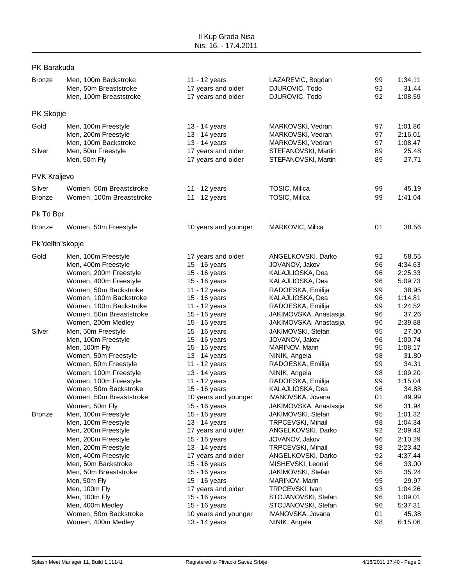### PK Barakuda

| <b>Bronze</b>           | Men, 100m Backstroke<br>Men, 50m Breaststroke<br>Men, 100m Breaststroke                                                                                                                                                                                                                                     | 11 - 12 years<br>17 years and older<br>17 years and older                                                                                                                                                                                                        | LAZAREVIC, Bogdan<br>DJUROVIC, Todo<br>DJUROVIC, Todo                                                                                                                                                                                                                                          | 99<br>92<br>92                                                                   | 1:34.11<br>31.44<br>1:08.59                                                                                                                    |
|-------------------------|-------------------------------------------------------------------------------------------------------------------------------------------------------------------------------------------------------------------------------------------------------------------------------------------------------------|------------------------------------------------------------------------------------------------------------------------------------------------------------------------------------------------------------------------------------------------------------------|------------------------------------------------------------------------------------------------------------------------------------------------------------------------------------------------------------------------------------------------------------------------------------------------|----------------------------------------------------------------------------------|------------------------------------------------------------------------------------------------------------------------------------------------|
| PK Skopje               |                                                                                                                                                                                                                                                                                                             |                                                                                                                                                                                                                                                                  |                                                                                                                                                                                                                                                                                                |                                                                                  |                                                                                                                                                |
| Gold<br>Silver          | Men, 100m Freestyle<br>Men, 200m Freestyle<br>Men, 100m Backstroke<br>Men, 50m Freestyle<br>Men, 50m Fly                                                                                                                                                                                                    | 13 - 14 years<br>13 - 14 years<br>13 - 14 years<br>17 years and older<br>17 years and older                                                                                                                                                                      | MARKOVSKI, Vedran<br>MARKOVSKI, Vedran<br>MARKOVSKI, Vedran<br>STEFANOVSKI, Martin<br>STEFANOVSKI, Martin                                                                                                                                                                                      | 97<br>97<br>97<br>89<br>89                                                       | 1:01.86<br>2:16.01<br>1:08.47<br>25.48<br>27.71                                                                                                |
| <b>PVK Kraljevo</b>     |                                                                                                                                                                                                                                                                                                             |                                                                                                                                                                                                                                                                  |                                                                                                                                                                                                                                                                                                |                                                                                  |                                                                                                                                                |
| Silver<br><b>Bronze</b> | Women, 50m Breaststroke<br>Women, 100m Breaststroke                                                                                                                                                                                                                                                         | 11 - 12 years<br>11 - 12 years                                                                                                                                                                                                                                   | TOSIC, Milica<br>TOSIC, Milica                                                                                                                                                                                                                                                                 | 99<br>99                                                                         | 45.19<br>1:41.04                                                                                                                               |
| Pk Td Bor               |                                                                                                                                                                                                                                                                                                             |                                                                                                                                                                                                                                                                  |                                                                                                                                                                                                                                                                                                |                                                                                  |                                                                                                                                                |
| <b>Bronze</b>           | Women, 50m Freestyle                                                                                                                                                                                                                                                                                        | 10 years and younger                                                                                                                                                                                                                                             | MARKOVIC, Milica                                                                                                                                                                                                                                                                               | 01                                                                               | 38.56                                                                                                                                          |
| Pk"delfin"skopje        |                                                                                                                                                                                                                                                                                                             |                                                                                                                                                                                                                                                                  |                                                                                                                                                                                                                                                                                                |                                                                                  |                                                                                                                                                |
| Gold                    | Men, 100m Freestyle<br>Men, 400m Freestyle<br>Women, 200m Freestyle<br>Women, 400m Freestyle<br>Women, 50m Backstroke<br>Women, 100m Backstroke<br>Women, 100m Backstroke<br>Women, 50m Breaststroke<br>Women, 200m Medley                                                                                  | 17 years and older<br>15 - 16 years<br>15 - 16 years<br>15 - 16 years<br>11 - 12 years<br>15 - 16 years<br>11 - 12 years<br>15 - 16 years<br>15 - 16 years                                                                                                       | ANGELKOVSKI, Darko<br>JOVANOV, Jakov<br>KALAJLIOSKA, Dea<br>KALAJLIOSKA, Dea<br>RADOESKA, Emilija<br>KALAJLIOSKA, Dea<br>RADOESKA, Emilija<br>JAKIMOVSKA, Anastasija<br>JAKIMOVSKA, Anastasija                                                                                                 | 92<br>96<br>96<br>96<br>99<br>96<br>99<br>96<br>96                               | 58.55<br>4:34.63<br>2:25.33<br>5:09.73<br>38.95<br>1:14.81<br>1:24.52<br>37.26<br>2:39.88                                                      |
| Silver                  | Men, 50m Freestyle<br>Men, 100m Freestyle<br>Men, 100m Fly<br>Women, 50m Freestyle<br>Women, 50m Freestyle<br>Women, 100m Freestyle<br>Women, 100m Freestyle<br>Women, 50m Backstroke<br>Women, 50m Breaststroke<br>Women, 50m Fly                                                                          | 15 - 16 years<br>15 - 16 years<br>15 - 16 years<br>13 - 14 years<br>11 - 12 years<br>13 - 14 years<br>11 - 12 years<br>15 - 16 years<br>10 years and younger<br>15 - 16 years                                                                                    | JAKIMOVSKI, Stefan<br>JOVANOV, Jakov<br>MARINOV, Marin<br>NINIK, Angela<br>RADOESKA, Emilija<br>NINIK, Angela<br>RADOESKA, Emilija<br>KALAJLIOSKA, Dea<br>IVANOVSKA, Jovana<br>JAKIMOVSKA, Anastasija                                                                                          | 95<br>96<br>95<br>98<br>99<br>98<br>99<br>96<br>01<br>96                         | 27.00<br>1:00.74<br>1:08.17<br>31.80<br>34.31<br>1:09.20<br>1:15.04<br>34.88<br>49.99<br>31.94                                                 |
| <b>Bronze</b>           | Men, 100m Freestyle<br>Men, 100m Freestyle<br>Men, 200m Freestyle<br>Men, 200m Freestyle<br>Men, 200m Freestyle<br>Men, 400m Freestyle<br>Men, 50m Backstroke<br>Men, 50m Breaststroke<br>Men, 50m Fly<br>Men, 100m Fly<br>Men, 100m Fly<br>Men, 400m Medley<br>Women, 50m Backstroke<br>Women, 400m Medley | 15 - 16 years<br>13 - 14 years<br>17 years and older<br>15 - 16 years<br>13 - 14 years<br>17 years and older<br>15 - 16 years<br>15 - 16 years<br>15 - 16 years<br>17 years and older<br>15 - 16 years<br>15 - 16 years<br>10 years and younger<br>13 - 14 years | JAKIMOVSKI, Stefan<br>TRPCEVSKI, Mihail<br>ANGELKOVSKI, Darko<br>JOVANOV, Jakov<br>TRPCEVSKI, Mihail<br>ANGELKOVSKI, Darko<br>MISHEVSKI, Leonid<br>JAKIMOVSKI, Stefan<br>MARINOV, Marin<br>TRPCEVSKI, Ivan<br>STOJANOVSKI, Stefan<br>STOJANOVSKI, Stefan<br>IVANOVSKA, Jovana<br>NINIK, Angela | 95<br>98<br>92<br>96<br>98<br>92<br>96<br>95<br>95<br>93<br>96<br>96<br>01<br>98 | 1:01.32<br>1:04.34<br>2:09.43<br>2:10.29<br>2:23.42<br>4:37.44<br>33.00<br>35.24<br>29.97<br>1:04.26<br>1:09.01<br>5:37.31<br>45.38<br>6:15.06 |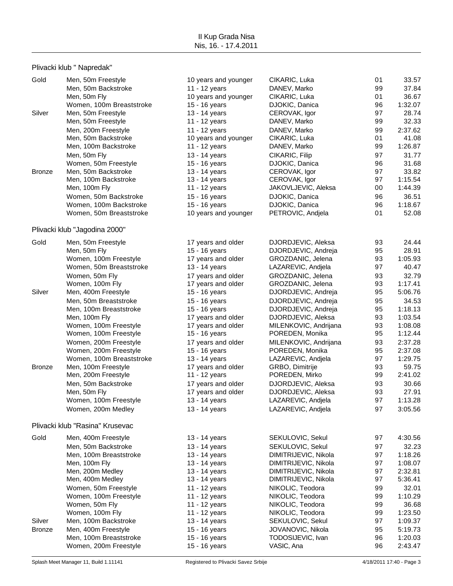## Plivacki klub " Napredak"

| Gold          | Men, 50m Freestyle<br>Men, 50m Backstroke      | 10 years and younger<br>11 - 12 years | CIKARIC, Luka<br>DANEV, Marko            | 01<br>99 | 33.57<br>37.84     |
|---------------|------------------------------------------------|---------------------------------------|------------------------------------------|----------|--------------------|
|               | Men, 50m Fly                                   | 10 years and younger                  | CIKARIC, Luka                            | 01       | 36.67              |
| Silver        | Women, 100m Breaststroke<br>Men, 50m Freestyle | 15 - 16 years<br>13 - 14 years        | DJOKIC, Danica<br>CEROVAK, Igor          | 96<br>97 | 1:32.07<br>28.74   |
|               | Men, 50m Freestyle                             | 11 - 12 years                         | DANEV, Marko                             | 99       | 32.33              |
|               | Men, 200m Freestyle                            | 11 - 12 years                         | DANEV, Marko                             | 99       | 2:37.62            |
|               | Men, 50m Backstroke                            | 10 years and younger                  | CIKARIC, Luka                            | 01       | 41.08              |
|               | Men, 100m Backstroke                           | 11 - 12 years                         | DANEV, Marko                             | 99       | 1:26.87            |
|               | Men, 50m Fly                                   | 13 - 14 years                         | CIKARIC, Filip                           | 97       | 31.77              |
|               | Women, 50m Freestyle                           | 15 - 16 years                         | DJOKIC, Danica                           | 96       | 31.68              |
| <b>Bronze</b> | Men, 50m Backstroke                            | 13 - 14 years                         | CEROVAK, Igor                            | 97       | 33.82              |
|               | Men, 100m Backstroke                           | 13 - 14 years                         | CEROVAK, Igor                            | 97       | 1:15.54            |
|               | Men, 100m Fly                                  | 11 - 12 years                         | JAKOVLJEVIC, Aleksa                      | 00       | 1:44.39            |
|               | Women, 50m Backstroke                          | 15 - 16 years                         | DJOKIC, Danica                           | 96       | 36.51              |
|               | Women, 100m Backstroke                         | 15 - 16 years                         | DJOKIC, Danica                           | 96       | 1:18.67            |
|               | Women, 50m Breaststroke                        | 10 years and younger                  | PETROVIC, Andjela                        | 01       | 52.08              |
|               | Plivacki klub "Jagodina 2000"                  |                                       |                                          |          |                    |
| Gold          | Men, 50m Freestyle                             | 17 years and older                    | DJORDJEVIC, Aleksa                       | 93       | 24.44              |
|               | Men, 50m Fly                                   | 15 - 16 years                         | DJORDJEVIC, Andreja                      | 95       | 28.91              |
|               | Women, 100m Freestyle                          | 17 years and older                    | GROZDANIC, Jelena                        | 93       | 1:05.93            |
|               | Women, 50m Breaststroke                        | 13 - 14 years                         | LAZAREVIC, Andjela                       | 97       | 40.47              |
|               | Women, 50m Fly                                 | 17 years and older                    | GROZDANIC, Jelena                        | 93       | 32.79              |
|               | Women, 100m Fly                                | 17 years and older                    | GROZDANIC, Jelena                        | 93       | 1:17.41            |
| Silver        | Men, 400m Freestyle                            | 15 - 16 years                         | DJORDJEVIC, Andreja                      | 95       | 5:06.76            |
|               | Men, 50m Breaststroke                          | 15 - 16 years                         | DJORDJEVIC, Andreja                      | 95       | 34.53              |
|               | Men, 100m Breaststroke                         | 15 - 16 years                         | DJORDJEVIC, Andreja                      | 95       | 1:18.13            |
|               | Men, 100m Fly                                  | 17 years and older                    | DJORDJEVIC, Aleksa                       | 93       | 1:03.54            |
|               | Women, 100m Freestyle                          | 17 years and older                    | MILENKOVIC, Andrijana                    | 93       | 1:08.08            |
|               | Women, 100m Freestyle                          | 15 - 16 years                         | POREDEN, Monika                          | 95       | 1:12.44<br>2:37.28 |
|               | Women, 200m Freestyle<br>Women, 200m Freestyle | 17 years and older<br>15 - 16 years   | MILENKOVIC, Andrijana<br>POREDEN, Monika | 93<br>95 | 2:37.08            |
|               | Women, 100m Breaststroke                       | 13 - 14 years                         | LAZAREVIC, Andjela                       | 97       | 1:29.75            |
| <b>Bronze</b> | Men, 100m Freestyle                            | 17 years and older                    | GRBO, Dimitrije                          | 93       | 59.75              |
|               | Men, 200m Freestyle                            | 11 - 12 years                         | POREDEN, Mirko                           | 99       | 2:41.02            |
|               | Men, 50m Backstroke                            | 17 years and older                    | DJORDJEVIC, Aleksa                       | 93       | 30.66              |
|               | Men, 50m Fly                                   | 17 years and older                    | DJORDJEVIC, Aleksa                       | 93       | 27.91              |
|               | Women, 100m Freestyle                          | 13 - 14 years                         | LAZAREVIC, Andjela                       | 97       | 1:13.28            |
|               | Women, 200m Medley                             | 13 - 14 years                         | LAZAREVIC, Andjela                       | 97       | 3:05.56            |
|               | Plivacki klub "Rasina" Krusevac                |                                       |                                          |          |                    |
| Gold          | Men, 400m Freestyle                            | 13 - 14 years                         | SEKULOVIC, Sekul                         | 97       | 4:30.56            |
|               | Men, 50m Backstroke                            | 13 - 14 years                         | SEKULOVIC, Sekul                         | 97       | 32.23              |
|               | Men, 100m Breaststroke                         | 13 - 14 years                         | DIMITRIJEVIC, Nikola                     | 97       | 1:18.26            |
|               | Men, 100m Fly                                  | 13 - 14 years                         | DIMITRIJEVIC, Nikola                     | 97       | 1:08.07            |
|               | Men, 200m Medley                               | 13 - 14 years                         | DIMITRIJEVIC, Nikola                     | 97       | 2:32.81            |
|               | Men, 400m Medley                               | 13 - 14 years                         | DIMITRIJEVIC, Nikola                     | 97       | 5:36.41            |
|               | Women, 50m Freestyle                           | 11 - 12 years                         | NIKOLIC, Teodora                         | 99       | 32.01              |
|               | Women, 100m Freestyle                          | 11 - 12 years                         | NIKOLIC, Teodora                         | 99       | 1:10.29            |
|               | Women, 50m Fly                                 | 11 - 12 years                         | NIKOLIC, Teodora                         | 99       | 36.68              |
|               | Women, 100m Fly                                | 11 - 12 years                         | NIKOLIC, Teodora                         | 99       | 1:23.50            |
| Silver        | Men, 100m Backstroke                           | 13 - 14 years                         | SEKULOVIC, Sekul                         | 97       | 1:09.37            |
| <b>Bronze</b> | Men, 400m Freestyle                            | 15 - 16 years                         | JOVANOVIC, Nikola                        | 95       | 5:19.73            |
|               | Men, 100m Breaststroke                         | 15 - 16 years                         | TODOSIJEVIC, Ivan                        | 96       | 1:20.03            |
|               | Women, 200m Freestyle                          | 15 - 16 years                         | VASIC, Ana                               | 96       | 2:43.47            |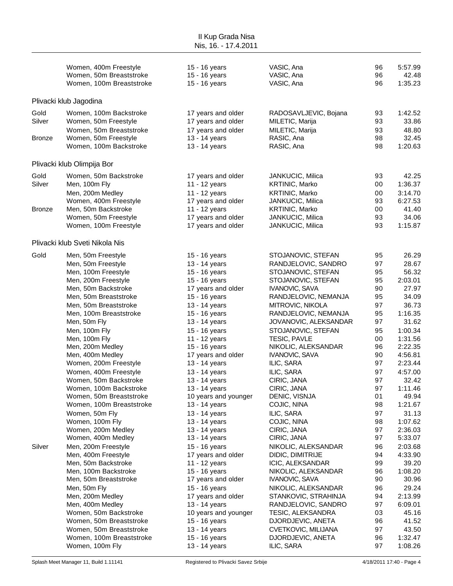| II Kup Grada Nisa<br>Nis, 16. - 17.4.2011 |                                                                                                                                                                                                                                                                                                                                                                                                                                                                                      |                                                                                                                                                                                                                                                                                                                                                                                    |                                                                                                                                                                                                                                                                                                                                                                                                                          |                                                                                                                            |                                                                                                                                                                                                                 |
|-------------------------------------------|--------------------------------------------------------------------------------------------------------------------------------------------------------------------------------------------------------------------------------------------------------------------------------------------------------------------------------------------------------------------------------------------------------------------------------------------------------------------------------------|------------------------------------------------------------------------------------------------------------------------------------------------------------------------------------------------------------------------------------------------------------------------------------------------------------------------------------------------------------------------------------|--------------------------------------------------------------------------------------------------------------------------------------------------------------------------------------------------------------------------------------------------------------------------------------------------------------------------------------------------------------------------------------------------------------------------|----------------------------------------------------------------------------------------------------------------------------|-----------------------------------------------------------------------------------------------------------------------------------------------------------------------------------------------------------------|
|                                           | Women, 400m Freestyle<br>Women, 50m Breaststroke<br>Women, 100m Breaststroke                                                                                                                                                                                                                                                                                                                                                                                                         | 15 - 16 years<br>15 - 16 years<br>15 - 16 years                                                                                                                                                                                                                                                                                                                                    | VASIC, Ana<br>VASIC, Ana<br>VASIC, Ana                                                                                                                                                                                                                                                                                                                                                                                   | 96<br>96<br>96                                                                                                             | 5:57.99<br>42.48<br>1:35.23                                                                                                                                                                                     |
|                                           | Plivacki klub Jagodina                                                                                                                                                                                                                                                                                                                                                                                                                                                               |                                                                                                                                                                                                                                                                                                                                                                                    |                                                                                                                                                                                                                                                                                                                                                                                                                          |                                                                                                                            |                                                                                                                                                                                                                 |
| Gold<br>Silver<br>Bronze                  | Women, 100m Backstroke<br>Women, 50m Freestyle<br>Women, 50m Breaststroke<br>Women, 50m Freestyle<br>Women, 100m Backstroke                                                                                                                                                                                                                                                                                                                                                          | 17 years and older<br>17 years and older<br>17 years and older<br>13 - 14 years<br>13 - 14 years                                                                                                                                                                                                                                                                                   | RADOSAVLJEVIC, Bojana<br>MILETIC, Marija<br>MILETIC, Marija<br>RASIC, Ana<br>RASIC, Ana                                                                                                                                                                                                                                                                                                                                  | 93<br>93<br>93<br>98<br>98                                                                                                 | 1:42.52<br>33.86<br>48.80<br>32.45<br>1:20.63                                                                                                                                                                   |
|                                           | Plivacki klub Olimpija Bor                                                                                                                                                                                                                                                                                                                                                                                                                                                           |                                                                                                                                                                                                                                                                                                                                                                                    |                                                                                                                                                                                                                                                                                                                                                                                                                          |                                                                                                                            |                                                                                                                                                                                                                 |
| Gold<br>Silver<br><b>Bronze</b>           | Women, 50m Backstroke<br>Men, 100m Fly<br>Men, 200m Medley<br>Women, 400m Freestyle<br>Men, 50m Backstroke<br>Women, 50m Freestyle<br>Women, 100m Freestyle                                                                                                                                                                                                                                                                                                                          | 17 years and older<br>11 - 12 years<br>11 - 12 years<br>17 years and older<br>11 - 12 years<br>17 years and older<br>17 years and older                                                                                                                                                                                                                                            | JANKUCIC, Milica<br>KRTINIC, Marko<br>KRTINIC, Marko<br>JANKUCIC, Milica<br><b>KRTINIC, Marko</b><br>JANKUCIC, Milica<br>JANKUCIC, Milica                                                                                                                                                                                                                                                                                | 93<br>00<br>00<br>93<br>00<br>93<br>93                                                                                     | 42.25<br>1:36.37<br>3:14.70<br>6:27.53<br>41.40<br>34.06<br>1:15.87                                                                                                                                             |
|                                           | Plivacki klub Sveti Nikola Nis                                                                                                                                                                                                                                                                                                                                                                                                                                                       |                                                                                                                                                                                                                                                                                                                                                                                    |                                                                                                                                                                                                                                                                                                                                                                                                                          |                                                                                                                            |                                                                                                                                                                                                                 |
| Gold                                      | Men, 50m Freestyle<br>Men, 50m Freestyle<br>Men, 100m Freestyle<br>Men, 200m Freestyle<br>Men, 50m Backstroke<br>Men, 50m Breaststroke<br>Men, 50m Breaststroke<br>Men, 100m Breaststroke<br>Men, 50m Fly<br>Men, 100m Fly<br>Men, 100m Fly<br>Men, 200m Medley<br>Men, 400m Medley<br>Women, 200m Freestyle<br>Women, 400m Freestyle<br>Women, 50m Backstroke<br>Women, 100m Backstroke<br>Women, 50m Breaststroke<br>Women, 100m Breaststroke<br>Women, 50m Fly<br>Women, 100m Fly | 15 - 16 years<br>13 - 14 years<br>15 - 16 years<br>15 - 16 years<br>17 years and older<br>15 - 16 years<br>13 - 14 years<br>15 - 16 years<br>13 - 14 years<br>15 - 16 years<br>11 - 12 years<br>15 - 16 years<br>17 years and older<br>13 - 14 years<br>13 - 14 years<br>13 - 14 years<br>13 - 14 years<br>10 years and younger<br>13 - 14 years<br>13 - 14 years<br>13 - 14 years | STOJANOVIC, STEFAN<br>RANDJELOVIC, SANDRO<br>STOJANOVIC, STEFAN<br>STOJANOVIC, STEFAN<br><b>IVANOVIC, SAVA</b><br>RANDJELOVIC, NEMANJA<br>MITROVIC, NIKOLA<br>RANDJELOVIC, NEMANJA<br>JOVANOVIC, ALEKSANDAR<br>STOJANOVIC, STEFAN<br>TESIC, PAVLE<br>NIKOLIC, ALEKSANDAR<br><b>IVANOVIC, SAVA</b><br>ILIC, SARA<br>ILIC, SARA<br>CIRIC, JANA<br>CIRIC, JANA<br>DENIC, VISNJA<br>COJIC, NINA<br>ILIC, SARA<br>COJIC, NINA | 95<br>97<br>95<br>95<br>90<br>95<br>97<br>95<br>97<br>95<br>00<br>96<br>90<br>97<br>97<br>97<br>97<br>01<br>98<br>97<br>98 | 26.29<br>28.67<br>56.32<br>2:03.01<br>27.97<br>34.09<br>36.73<br>1:16.35<br>31.62<br>1:00.34<br>1:31.56<br>2:22.35<br>4:56.81<br>2:23.44<br>4:57.00<br>32.42<br>1:11.46<br>49.94<br>1:21.67<br>31.13<br>1:07.62 |
| Silver                                    | Women, 200m Medley<br>Women, 400m Medley<br>Men, 200m Freestyle<br>Men, 400m Freestyle<br>Men, 50m Backstroke<br>Men, 100m Backstroke<br>Men, 50m Breaststroke<br>Men, 50m Fly<br>Men, 200m Medley<br>Men, 400m Medley<br>Women, 50m Backstroke<br>Women, 50m Breaststroke<br>Women, 50m Breaststroke<br>Women, 100m Breaststroke<br>Women, 100m Fly                                                                                                                                 | 13 - 14 years<br>13 - 14 years<br>15 - 16 years<br>17 years and older<br>11 - 12 years<br>15 - 16 years<br>17 years and older<br>15 - 16 years<br>17 years and older<br>13 - 14 years<br>10 years and younger<br>15 - 16 years<br>13 - 14 years<br>15 - 16 years<br>13 - 14 years                                                                                                  | CIRIC, JANA<br>CIRIC, JANA<br>NIKOLIC, ALEKSANDAR<br>DIDIC, DIMITRIJE<br>ICIC, ALEKSANDAR<br>NIKOLIC, ALEKSANDAR<br>IVANOVIC, SAVA<br>NIKOLIC, ALEKSANDAR<br>STANKOVIC, STRAHINJA<br>RANDJELOVIC, SANDRO<br>TESIC, ALEKSANDRA<br>DJORDJEVIC, ANETA<br><b>CVETKOVIC, MILIJANA</b><br>DJORDJEVIC, ANETA<br>ILIC, SARA                                                                                                      | 97<br>97<br>96<br>94<br>99<br>96<br>90<br>96<br>94<br>97<br>03<br>96<br>97<br>96<br>97                                     | 2:36.03<br>5:33.07<br>2:03.68<br>4:33.90<br>39.20<br>1:08.20<br>30.96<br>29.24<br>2:13.99<br>6:09.01<br>45.16<br>41.52<br>43.50<br>1:32.47<br>1:08.26                                                           |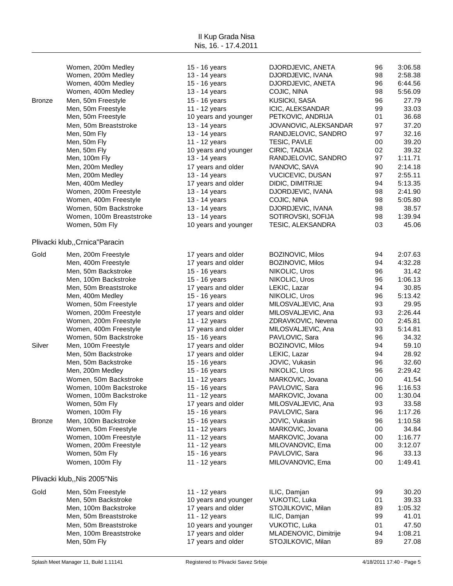Women, 200m Medley 15 - 16 years DJORDJEVIC, ANETA 96 3:06.58 Women, 200m Medley **13 - 14 years** DJORDJEVIC, IVANA 98 2:58.38 Women, 400m Medley 15 - 16 years DJORDJEVIC, ANETA 96 6:44.56 Women, 400m Medley **13 - 14 years COJIC, NINA** 98 5:56.09 Bronze Men, 50m Freestyle 15 - 16 years KUSICKI, SASA 96 27.79 Men, 50m Freestyle **11 - 12 years** ICIC, ALEKSANDAR 99 33.03 Men, 50m Freestyle **10** years and younger PETKOVIC, ANDRIJA 01 36.68 Men, 50m Breaststroke 13 - 14 years JOVANOVIC, ALEKSANDAR 97 37.20 Men, 50m Fly 13 - 13 - 14 years RANDJELOVIC, SANDRO 97 32.16 Men, 50m Fly 11 - 12 years TESIC, PAVLE 00 39.20 Men, 50m Fly 10 years and younger CIRIC, TADIJA 02 39.32 Men, 100m Fly 13 - 13 - 14 years RANDJELOVIC, SANDRO 97 1:11.71 Men, 200m Medley **17 years and older** IVANOVIC, SAVA 90 2:14.18 Men, 200m Medley 13 - 14 years VUCICEVIC, DUSAN 97 2:55.11 Men, 400m Medley **17 years and older** DIDIC, DIMITRIJE 94 5:13.35 Women, 200m Freestyle **13 - 14 years** DJORDJEVIC, IVANA 98 2:41.90 Women, 400m Freestyle **13 - 14 years COJIC, NINA** 98 5:05.80 Women, 50m Backstroke 13 - 14 years DJORDJEVIC, IVANA 98 38.57 Women, 100m Breaststroke 13 - 14 years SOTIROVSKI, SOFIJA 98 1:39.94 Women, 50m Fly 15.06 and younger TESIC, ALEKSANDRA 03 45.06 Plivacki klub,,Crnica"Paracin Gold Men, 200m Freestyle 17 years and older BOZINOVIC, Milos 94 2:07.63 Men, 400m Freestyle **17 years and older** BOZINOVIC, Milos 94 4:32.28 Men, 50m Backstroke **15 - 16 years** NIKOLIC, Uros 96 31.42 Men, 100m Backstroke **15 - 16 years** NIKOLIC, Uros 96 1:06.13 Men, 50m Breaststroke **17 years and older** LEKIC, Lazar 94 30.85 Men, 400m Medley 15 - 16 years NIKOLIC, Uros 96 5:13.42 Women, 50m Freestyle **17 years and older** MILOSVALJEVIC, Ana 93 29.95 Women, 200m Freestyle **17 years and older** MILOSVALJEVIC, Ana 93 2:26.44 Women, 200m Freestyle 11 - 12 years ZDRAVKOVIC, Nevena 00 2:45.81 Women, 400m Freestyle **17 years and older** MILOSVALJEVIC, Ana 93 5:14.81 Women, 50m Backstroke 15 - 16 years PAVLOVIC, Sara 196 34.32 Silver Men, 100m Freestyle 17 years and older BOZINOVIC, Milos 94 59.10 Men, 50m Backstroke **17 years and older** LEKIC, Lazar 94 28.92 Men, 50m Backstroke 15 - 16 years JOVIC, Vukasin 96 32.60 Men, 200m Medley 15 - 16 years NIKOLIC, Uros 96 2:29.42 Women, 50m Backstroke 11 - 12 years MARKOVIC, Jovana 00 41.54 Women, 100m Backstroke 15 - 16 years PAVLOVIC, Sara 96 1:16.53 Women, 100m Backstroke 11 - 12 years MARKOVIC, Jovana 00 1:30.04 Women, 50m Fly 17 years and older MILOSVALJEVIC, Ana 93 33.58 Women, 100m Fly 15 - 16 years PAVLOVIC, Sara 96 1:17.26 Bronze Men, 100m Backstroke 15 - 16 years JOVIC, Vukasin 96 1:10.58 Women, 50m Freestyle **11 - 12 years** MARKOVIC, Jovana 00 34.84 Women, 100m Freestyle **11 - 12 years** MARKOVIC, Jovana 00 1:16.77 Women, 200m Freestyle **11 - 12 years MILOVANOVIC, Ema** 00 3:12.07 Women, 50m Fly **Notain Company 15 - 16 years** PAVLOVIC, Sara 39.13 96 33.13 Women, 100m Fly 11 - 12 years MILOVANOVIC, Ema 00 1:49.41 Plivacki klub,,Nis 2005"Nis Gold Men, 50m Freestyle 11 - 12 years ILIC, Damjan 99 30.20 Men, 50m Backstroke **10** years and younger VUKOTIC, Luka 01 39.33 Men, 100m Backstroke **17** years and older STOJILKOVIC, Milan 89 1:05.32

II Kup Grada Nisa Nis, 16. - 17.4.2011

Men, 50m Breaststroke **11 - 12 years** ILIC, Damjan 99 41.01 Men, 50m Breaststroke 10 years and younger VUKOTIC, Luka 01 47.50 Men, 100m Breaststroke 17 years and older MLADENOVIC, Dimitrije 94 1:08.21 Men, 50m Fly 17 years and older STOJILKOVIC, Milan 89 27.08